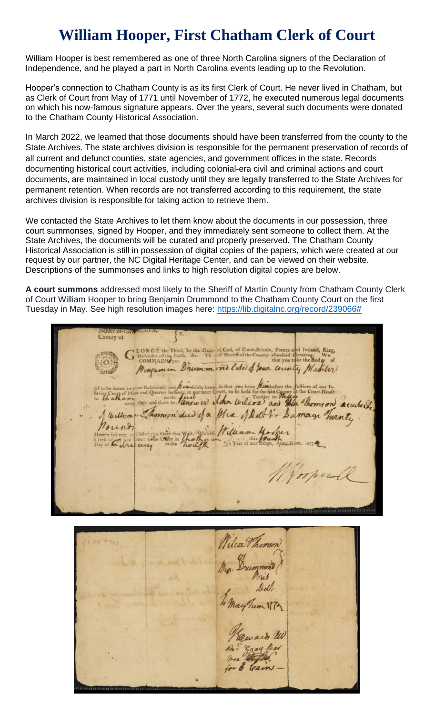## **William Hooper, First Chatham Clerk of Court**

William Hooper is best remembered as one of three North Carolina signers of the Declaration of Independence, and he played a part in North Carolina events leading up to the Revolution.

Hooper's connection to Chatham County is as its first Clerk of Court. He never lived in Chatham, but as Clerk of Court from May of 1771 until November of 1772, he executed numerous legal documents on which his now-famous signature appears. Over the years, several such documents were donated to the Chatham County Historical Association.

In March 2022, we learned that those documents should have been transferred from the county to the State Archives. The state archives division is responsible for the permanent preservation of records of all current and defunct counties, state agencies, and government offices in the state. Records documenting historical court activities, including colonial-era civil and criminal actions and court documents, are maintained in local custody until they are legally transferred to the State Archives for permanent retention. When records are not transferred according to this requirement, the state archives division is responsible for taking action to retrieve them.

We contacted the State Archives to let them know about the documents in our possession, three court summonses, signed by Hooper, and they immediately sent someone to collect them. At the State Archives, the documents will be curated and properly preserved. The Chatham County Historical Association is still in possession of digital copies of the papers, which were created at our request by our partner, the NC Digital Heritage Center, and can be viewed on their website. Descriptions of the summonses and links to high resolution digital copies are below.

**A court summons** addressed most likely to the Sheriff of Martin County from Chatham County Clerk of Court William Hooper to bring Benjamin Drummond to the Chatham County Court on the first Tuesday in May. See high resolution images here: [https://lib.digitalnc.org/record/239066#](https://lib.digitalnc.org/record/239066)

County of EORGE the Third, by the Graen of God, of Great-Britain, France and Ireland, King, Defender of the Faith, &c. To the Sheriff of the County aforefaid Greening. We that you take the Bod  $\mu$  of Drummond late of your county, Matcher ww whom wilcox and the Thomson acculor alkam I william Thomson dud of a Mia of Delt's Damage Turnte William Howther have you there this With Twilth Jospul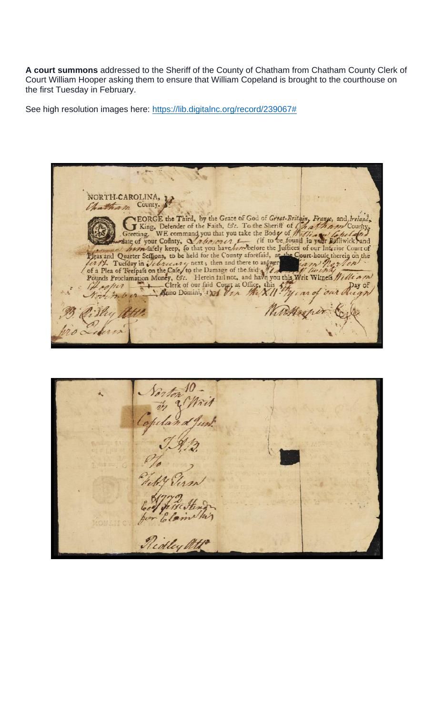**A court summons** addressed to the Sheriff of the County of Chatham from Chatham County Clerk of Court William Hooper asking them to ensure that William Copeland is brought to the courthouse on the first Tuesday in February.

See high resolution images here: [https://lib.digitalnc.org/record/239067#](https://lib.digitalnc.org/record/239067)

NORTH-CAROLINA, hatham County. Clerk of our fisic Clerk of our fisic Clerk of our fisic Clerk of our fisic Clerk of our fisic Apple of the Streeting. WE command you that you take the Board of the *Linder* County, County, Controller County, WE command yo